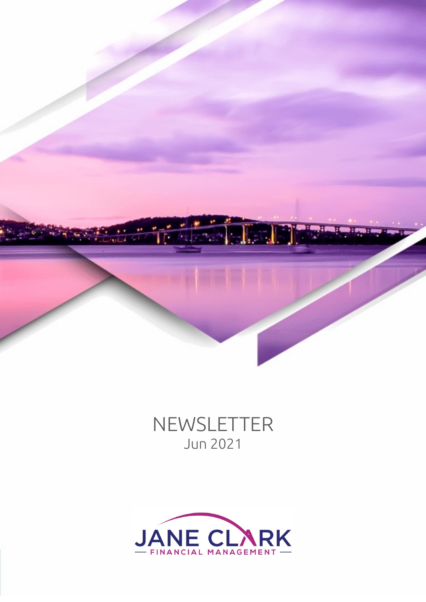

# NEWSLETTER Jun 2021

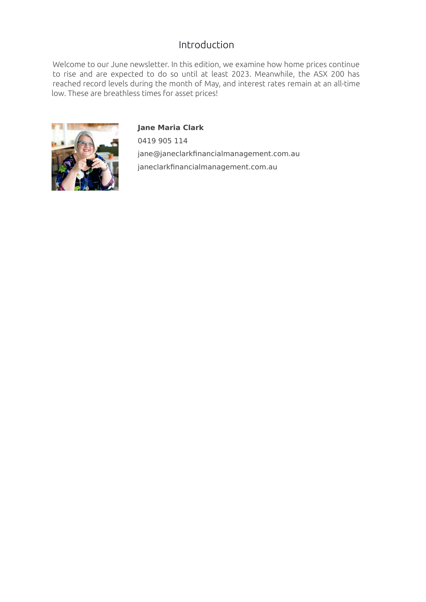# Introduction

Welcome to our June newsletter. In this edition, we examine how home prices continue to rise and are expected to do so until at least 2023. Meanwhile, the ASX 200 has reached record levels during the month of May, and interest rates remain at an all-time low. These are breathless times for asset prices!



**Jane Maria Clark** 0419 905 114 jane@janeclarkfinancialmanagement.com.au janeclarkfinancialmanagement.com.au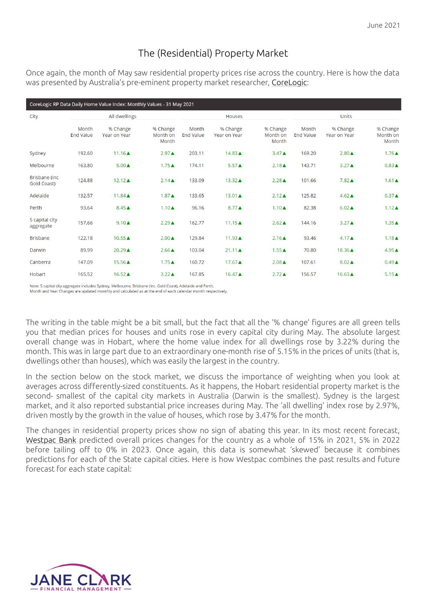# The (Residential) Property Market

Once again, the month of May saw residential property prices rise across the country. Here is how the data was presented by Australia's pre-eminent property market researcher, [CoreLogic:](https://www.corelogic.com.au/research/monthly-indices)

| CoreLogic RP Data Daily Home Value Index: Monthly Values - 31 May 2021 |                           |                          |                               |                           |                                 |                               |                           |                          |                               |
|------------------------------------------------------------------------|---------------------------|--------------------------|-------------------------------|---------------------------|---------------------------------|-------------------------------|---------------------------|--------------------------|-------------------------------|
| City                                                                   | All dwellings             |                          |                               |                           | <b>Houses</b>                   |                               | <b>Units</b>              |                          |                               |
|                                                                        | Month<br><b>End Value</b> | % Change<br>Year on Year | % Change<br>Month on<br>Month | Month<br><b>End Value</b> | % Change<br><b>Year on Year</b> | % Change<br>Month on<br>Month | Month<br><b>End Value</b> | % Change<br>Year on Year | % Change<br>Month on<br>Month |
| Sydney                                                                 | 192.60                    | $11.16 \triangle$        | $2.97 \triangle$              | 203.11                    | 14.83▲                          | $3.47 \triangle$              | 169.20                    | $2.80 \triangle$         | $1.76\triangle$               |
| Melbourne                                                              | 163.80                    | $5.00 \triangle$         | $1.75 \triangle$              | 174.11                    | $5.57 \triangle$                | $2.18 \triangle$              | 143.71                    | $3.27 \triangle$         | $0.83 \triangle$              |
| Brisbane (inc.<br>Gold Coast)                                          | 124.88                    | $12.12 \triangle$        | $2.14 \triangle$              | 133.09                    | 13.32▲                          | $2.28 \triangle$              | 101.66                    | $7.82 \triangle$         | $1.61 \triangle$              |
| Adelaide                                                               | 132.57                    | $11.84 \triangle$        | $1.87 \triangle$              | 133.65                    | 13.01 ▲                         | $2.12 \triangle$              | 125.82                    | $4.62 \triangle$         | $0.37 \triangle$              |
| Perth                                                                  | 93.64                     | $8.45 \triangle$         | $1.10 \triangle$              | 96.16                     | 8.77▲                           | $1.10 \triangle$              | 82.38                     | $6.02 \triangle$         | $1.12 \triangle$              |
| 5 capital city<br>aggregate                                            | 157.66                    | $9.10 \triangle$         | $2.29 \triangle$              | 162.77                    | $11.15 \triangle$               | $2.62 \triangle$              | 144.16                    | $3.27 \triangle$         | $1.35 \triangle$              |
| <b>Brisbane</b>                                                        | 122.18                    | $10.55 \triangle$        | $2.00 \triangle$              | 129.84                    | 11.93▲                          | $2.16 \triangle$              | 93.46                     | $4.17 \triangle$         | $1.18 \triangle$              |
| Darwin                                                                 | 89.99                     | 20.29▲                   | $2.66 \triangle$              | 103.04                    | $21.11 \triangle$               | $1.55 \triangle$              | 70.80                     | 18.36▲                   | $4.95 \triangle$              |
| Canberra                                                               | 147.09                    | 15.56▲                   | $1.75 \triangle$              | 160.72                    | 17.67▲                          | $2.08 \triangle$              | 107.61                    | $8.02 \triangle$         | $0.49 \triangle$              |
| Hobart                                                                 | 165.52                    | 16.52▲                   | $3.22 \triangle$              | 167.85                    | 16.47▲                          | $2.72 \triangle$              | 156.57                    | $16.63 \triangle$        | $5.15 \triangle$              |

Note: 5 capital city aggregate includes Sydney, Melbourne, Brisbane (inc. Gold Coast), Adelaide and Perth. Month and Year Changes are updated monthly and calculated as at the end of each calendar month respectively.

The writing in the table might be a bit small, but the fact that all the '% change' figures are all green tells you that median prices for houses and units rose in every capital city during May. The absolute largest overall change was in Hobart, where the home value index for all dwellings rose by 3.22% during the month. This was in large part due to an extraordinary one-month rise of 5.15% in the prices of units (that is, dwellings other than houses), which was easily the largest in the country.

In the section below on the stock market, we discuss the importance of weighting when you look at averages across differently-sized constituents. As it happens, the Hobart residential property market is the second- smallest of the capital city markets in Australia (Darwin is the smallest). Sydney is the largest market, and it also reported substantial price increases during May. The 'all dwelling' index rose by 2.97%, driven mostly by the growth in the value of houses, which rose by 3.47% for the month.

The changes in residential property prices show no sign of abating this year. In its most recent forecast, [Westpac Bank](https://westpaciq.westpac.com.au/wibiqauthoring/_uploads/file/Australia/2021/2021-05/WestpacHousingPulseMay2021.pdf) predicted overall prices changes for the country as a whole of 15% in 2021, 5% in 2022 before tailing off to 0% in 2023. Once again, this data is somewhat 'skewed' because it combines predictions for each of the State capital cities. Here is how Westpac combines the past results and future forecast for each state capital:

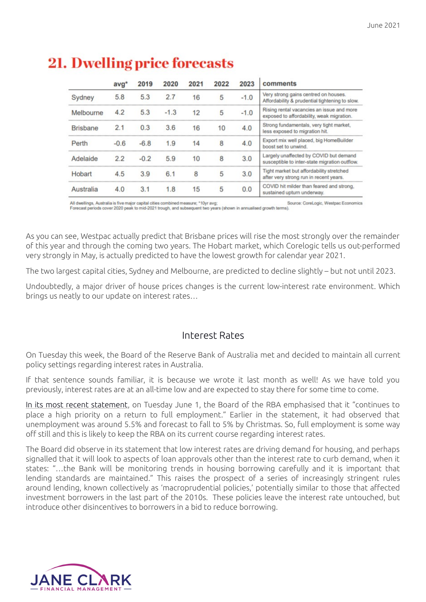|                 | avg*   | 2019   | 2020   | 2021 | 2022 | 2023   | comments                                                                                |  |
|-----------------|--------|--------|--------|------|------|--------|-----------------------------------------------------------------------------------------|--|
| Sydney          | 5.8    | 5.3    | 2.7    | 16   | 5    | $-1.0$ | Very strong gains centred on houses.<br>Affordability & prudential tightening to slow.  |  |
| Melbourne       | 4.2    | 5.3    | $-1.3$ | 12   | 5    | $-1.0$ | Rising rental vacancies an issue and more<br>exposed to affordability, weak migration.  |  |
| <b>Brisbane</b> | 2.1    | 0.3    | 3.6    | 16   | 10   | 4.0    | Strong fundamentals, very tight market,<br>less exposed to migration hit.               |  |
| Perth           | $-0.6$ | $-6.8$ | 1.9    | 14   | 8    | 4.0    | Export mix well placed, big HomeBuilder<br>boost set to unwind.                         |  |
| Adelaide        | 2.2    | $-0.2$ | 5.9    | 10   | 8    | 3.0    | Largely unaffected by COVID but demand<br>susceptible to inter-state migration outflow. |  |
| Hobart          | 4.5    | 3.9    | 6.1    | 8    | 5    | 3.0    | Tight market but affordability stretched<br>after very strong run in recent years.      |  |
| Australia       | 4.0    | 3.1    | 1.8    | 15   | 5    | 0.0    | COVID hit milder than feared and strong,<br>sustained upturn underway.                  |  |

# **21. Dwelling price forecasts**

All dwellings, Australia is five major capital cities combined measure; \*10yr avg; Source: CoreLogic, Westpac Economics Forecast periods cover 2020 peak to mid-2021 trough, and subsequent two years (shown in annualised growth terms).

As you can see, Westpac actually predict that Brisbane prices will rise the most strongly over the remainder of this year and through the coming two years. The Hobart market, which Corelogic tells us out-performed very strongly in May, is actually predicted to have the lowest growth for calendar year 2021.

The two largest capital cities, Sydney and Melbourne, are predicted to decline slightly – but not until 2023.

Undoubtedly, a major driver of house prices changes is the current low-interest rate environment. Which brings us neatly to our update on interest rates…

## Interest Rates

On Tuesday this week, the Board of the Reserve Bank of Australia met and decided to maintain all current policy settings regarding interest rates in Australia.

If that sentence sounds familiar, it is because we wrote it last month as well! As we have told you previously, interest rates are at an all-time low and are expected to stay there for some time to come.

[In its most recent statement,](https://www.rba.gov.au/media-releases/2021/mr-21-09.html) on Tuesday June 1, the Board of the RBA emphasised that it "continues to place a high priority on a return to full employment." Earlier in the statement, it had observed that unemployment was around 5.5% and forecast to fall to 5% by Christmas. So, full employment is some way off still and this is likely to keep the RBA on its current course regarding interest rates.

The Board did observe in its statement that low interest rates are driving demand for housing, and perhaps signalled that it will look to aspects of loan approvals other than the interest rate to curb demand, when it states: "…the Bank will be monitoring trends in housing borrowing carefully and it is important that lending standards are maintained." This raises the prospect of a series of increasingly stringent rules around lending, known collectively as 'macroprudential policies,' potentially similar to those that affected investment borrowers in the last part of the 2010s. These policies leave the interest rate untouched, but introduce other disincentives to borrowers in a bid to reduce borrowing.

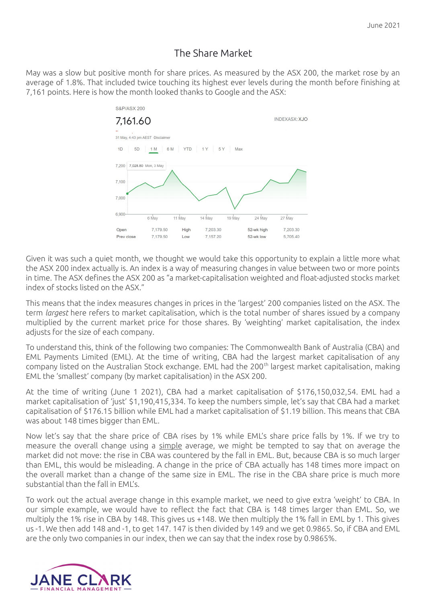## The Share Market

May was a slow but positive month for share prices. As measured by the ASX 200, the market rose by an average of 1.8%. That included twice touching its highest ever levels during the month before finishing at 7,161 points. Here is how the month looked thanks to Google and the ASX:



Given it was such a quiet month, we thought we would take this opportunity to explain a little more what the ASX 200 index actually is. An index is a way of measuring changes in value between two or more points in time. The ASX defines the ASX 200 as "a market-capitalisation weighted and float-adjusted stocks market index of stocks listed on the ASX."

This means that the index measures changes in prices in the 'largest' 200 companies listed on the ASX. The term *largest* here refers to market capitalisation, which is the total number of shares issued by a company multiplied by the current market price for those shares. By 'weighting' market capitalisation, the index adjusts for the size of each company.

To understand this, think of the following two companies: The Commonwealth Bank of Australia (CBA) and EML Payments Limited (EML). At the time of writing, CBA had the largest market capitalisation of any company listed on the Australian Stock exchange. EML had the 200<sup>th</sup> largest market capitalisation, making EML the 'smallest' company (by market capitalisation) in the ASX 200.

At the time of writing (June 1 2021), CBA had a market capitalisation of \$176,150,032,54. EML had a market capitalisation of 'just' \$1,190,415,334. To keep the numbers simple, let's say that CBA had a market capitalisation of \$176.15 billion while EML had a market capitalisation of \$1.19 billion. This means that CBA was about 148 times bigger than EML.

Now let's say that the share price of CBA rises by 1% while EML's share price falls by 1%. If we try to measure the overall change using a simple average, we might be tempted to say that on average the market did not move: the rise in CBA was countered by the fall in EML. But, because CBA is so much larger than EML, this would be misleading. A change in the price of CBA actually has 148 times more impact on the overall market than a change of the same size in EML. The rise in the CBA share price is much more substantial than the fall in EML's.

To work out the actual average change in this example market, we need to give extra 'weight' to CBA. In our simple example, we would have to reflect the fact that CBA is 148 times larger than EML. So, we multiply the 1% rise in CBA by 148. This gives us +148. We then multiply the 1% fall in EML by 1. This gives us -1. We then add 148 and -1, to get 147. 147 is then divided by 149 and we get 0.9865. So, if CBA and EML are the only two companies in our index, then we can say that the index rose by 0.9865%.

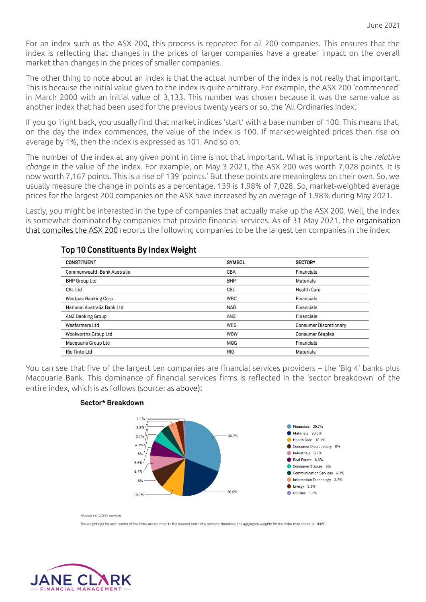For an index such as the ASX 200, this process is repeated for all 200 companies. This ensures that the index is reflecting that changes in the prices of larger companies have a greater impact on the overall market than changes in the prices of smaller companies.

The other thing to note about an index is that the actual number of the index is not really that important. This is because the initial value given to the index is quite arbitrary. For example, the ASX 200 'commenced' in March 2000 with an initial value of 3,133. This number was chosen because it was the same value as another index that had been used for the previous twenty years or so, the 'All Ordinaries Index.'

If you go 'right back, you usually find that market indices 'start' with a base number of 100. This means that, on the day the index commences, the value of the index is 100. If market-weighted prices then rise on average by 1%, then the index is expressed as 101. And so on.

The number of the index at any given point in time is not that important. What is important is the *relative change* in the value of the index. For example, on May 3 2021, the ASX 200 was worth 7,028 points. It is now worth 7,167 points. This is a rise of 139 'points.' But these points are meaningless on their own. So, we usually measure the change in points as a percentage. 139 is 1.98% of 7,028. So, market-weighted average prices for the largest 200 companies on the ASX have increased by an average of 1.98% during May 2021.

Lastly, you might be interested in the type of companies that actually make up the ASX 200. Well, the index is somewhat dominated by companies that provide financial services. As of 31 May 2021, the [organisation](https://www.spglobal.com/spdji/en/indices/equity/sp-asx-200/#overview) [that compiles the ASX 200](https://www.spglobal.com/spdji/en/indices/equity/sp-asx-200/#overview) reports the following companies to be the largest ten companies in the index:

| <b>CONSTITUENT</b>                 | <b>SYMBOL</b> | SECTOR*                       |
|------------------------------------|---------------|-------------------------------|
| <b>Commonwealth Bank Australia</b> | <b>CBA</b>    | <b>Financials</b>             |
| <b>BHP Group Ltd</b>               | <b>BHP</b>    | <b>Materials</b>              |
| <b>CSL Ltd</b>                     | <b>CSL</b>    | <b>Health Care</b>            |
| <b>Westpac Banking Corp</b>        | <b>WBC</b>    | <b>Financials</b>             |
| National Australia Bank Ltd        | <b>NAB</b>    | <b>Financials</b>             |
| <b>ANZ Banking Group</b>           | ANZ           | <b>Financials</b>             |
| <b>Wesfarmers Ltd</b>              | <b>WES</b>    | <b>Consumer Discretionary</b> |
| <b>Woolworths Group Ltd</b>        | <b>WOW</b>    | <b>Consumer Staples</b>       |
| <b>Macquarie Group Ltd</b>         | <b>MQG</b>    | <b>Financials</b>             |
| <b>Rio Tinto Ltd</b>               | <b>RIO</b>    | <b>Materials</b>              |

#### Top 10 Constituents By Index Weight

You can see that five of the largest ten companies are financial services providers – the 'Big 4' banks plus Macquarie Bank. This dominance of financial services firms is reflected in the 'sector breakdown' of the entire index, which is as follows (source: [as above](https://www.spglobal.com/spdji/en/indices/equity/sp-asx-200/#overview)):

#### Sector\* Breakdown



\*Based on GICS® sectors

The weightings for each sector of the index are rounded to the nearest tenth of a percent; therefore, the aggregate weights for the index may not equal 100%.